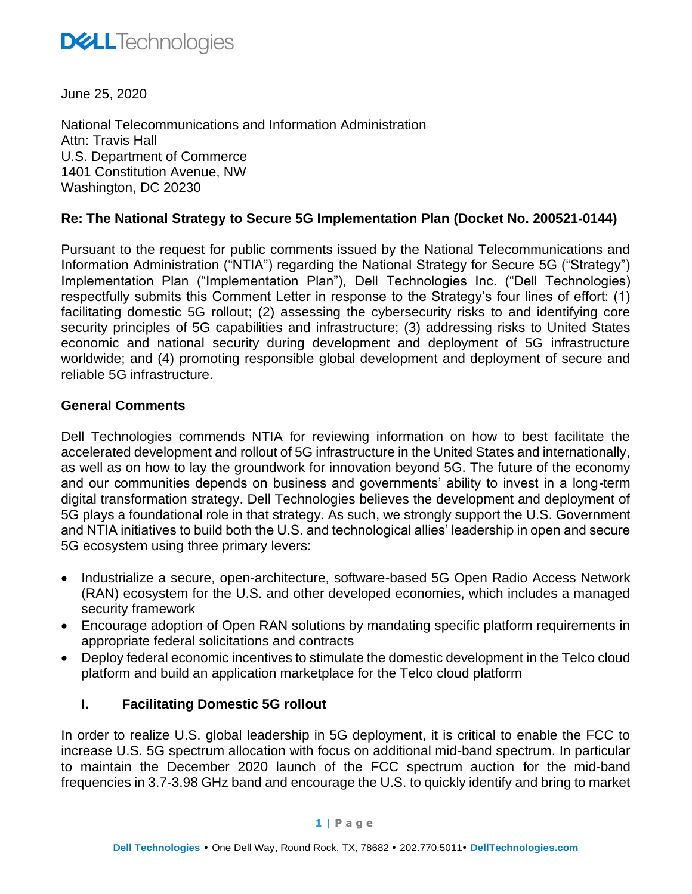

June 25, 2020

National Telecommunications and Information Administration Attn: Travis Hall U.S. Department of Commerce 1401 Constitution Avenue, NW Washington, DC 20230

## **Re: The National Strategy to Secure 5G Implementation Plan (Docket No. 200521-0144)**

Pursuant to the request for public comments issued by the National Telecommunications and Information Administration ("NTIA") regarding the National Strategy for Secure 5G ("Strategy") Implementation Plan ("Implementation Plan"), Dell Technologies Inc. ("Dell Technologies) respectfully submits this Comment Letter in response to the Strategy's four lines of effort: (1) facilitating domestic 5G rollout; (2) assessing the cybersecurity risks to and identifying core security principles of 5G capabilities and infrastructure; (3) addressing risks to United States economic and national security during development and deployment of 5G infrastructure worldwide; and (4) promoting responsible global development and deployment of secure and reliable 5G infrastructure.

#### **General Comments**

Dell Technologies commends NTIA for reviewing information on how to best facilitate the accelerated development and rollout of 5G infrastructure in the United States and internationally, as well as on how to lay the groundwork for innovation beyond 5G. The future of the economy and our communities depends on business and governments' ability to invest in a long-term digital transformation strategy. Dell Technologies believes the development and deployment of 5G plays a foundational role in that strategy. As such, we strongly support the U.S. Government and NTIA initiatives to build both the U.S. and technological allies' leadership in open and secure 5G ecosystem using three primary levers:

- Industrialize a secure, open-architecture, software-based 5G Open Radio Access Network (RAN) ecosystem for the U.S. and other developed economies, which includes a managed security framework
- Encourage adoption of Open RAN solutions by mandating specific platform requirements in appropriate federal solicitations and contracts
- Deploy federal economic incentives to stimulate the domestic development in the Telco cloud platform and build an application marketplace for the Telco cloud platform

## **I. Facilitating Domestic 5G rollout**

In order to realize U.S. global leadership in 5G deployment, it is critical to enable the FCC to increase U.S. 5G spectrum allocation with focus on additional mid-band spectrum. In particular to maintain the December 2020 launch of the FCC spectrum auction for the mid-band frequencies in 3.7-3.98 GHz band and encourage the U.S. to quickly identify and bring to market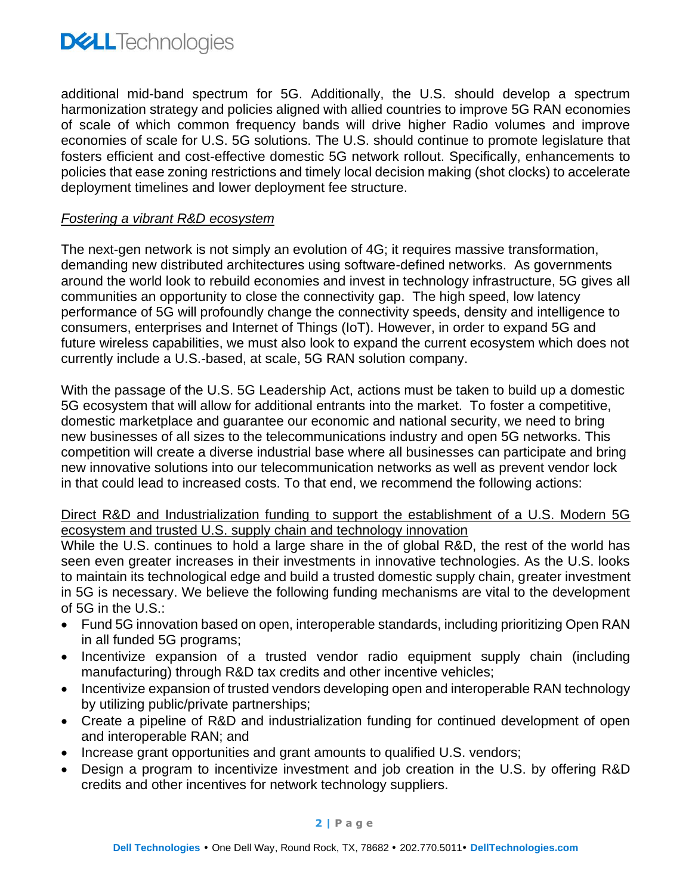

additional mid-band spectrum for 5G. Additionally, the U.S. should develop a spectrum harmonization strategy and policies aligned with allied countries to improve 5G RAN economies of scale of which common frequency bands will drive higher Radio volumes and improve economies of scale for U.S. 5G solutions. The U.S. should continue to promote legislature that fosters efficient and cost-effective domestic 5G network rollout. Specifically, enhancements to policies that ease zoning restrictions and timely local decision making (shot clocks) to accelerate deployment timelines and lower deployment fee structure.

#### *Fostering a vibrant R&D ecosystem*

The next-gen network is not simply an evolution of 4G; it requires massive transformation, demanding new distributed architectures using software-defined networks. As governments around the world look to rebuild economies and invest in technology infrastructure, 5G gives all communities an opportunity to close the connectivity gap. The high speed, low latency performance of 5G will profoundly change the connectivity speeds, density and intelligence to consumers, enterprises and Internet of Things (IoT). However, in order to expand 5G and future wireless capabilities, we must also look to expand the current ecosystem which does not currently include a U.S.-based, at scale, 5G RAN solution company.

With the passage of the U.S. 5G Leadership Act, actions must be taken to build up a domestic 5G ecosystem that will allow for additional entrants into the market. To foster a competitive, domestic marketplace and guarantee our economic and national security, we need to bring new businesses of all sizes to the telecommunications industry and open 5G networks. This competition will create a diverse industrial base where all businesses can participate and bring new innovative solutions into our telecommunication networks as well as prevent vendor lock in that could lead to increased costs. To that end, we recommend the following actions:

## Direct R&D and Industrialization funding to support the establishment of a U.S. Modern 5G ecosystem and trusted U.S. supply chain and technology innovation

While the U.S. continues to hold a large share in the of global R&D, the rest of the world has seen even greater increases in their investments in innovative technologies. As the U.S. looks to maintain its technological edge and build a trusted domestic supply chain, greater investment in 5G is necessary. We believe the following funding mechanisms are vital to the development of 5G in the U.S.:

- Fund 5G innovation based on open, interoperable standards, including prioritizing Open RAN in all funded 5G programs;
- Incentivize expansion of a trusted vendor radio equipment supply chain (including manufacturing) through R&D tax credits and other incentive vehicles;
- Incentivize expansion of trusted vendors developing open and interoperable RAN technology by utilizing public/private partnerships;
- Create a pipeline of R&D and industrialization funding for continued development of open and interoperable RAN; and
- Increase grant opportunities and grant amounts to qualified U.S. vendors;
- Design a program to incentivize investment and job creation in the U.S. by offering R&D credits and other incentives for network technology suppliers.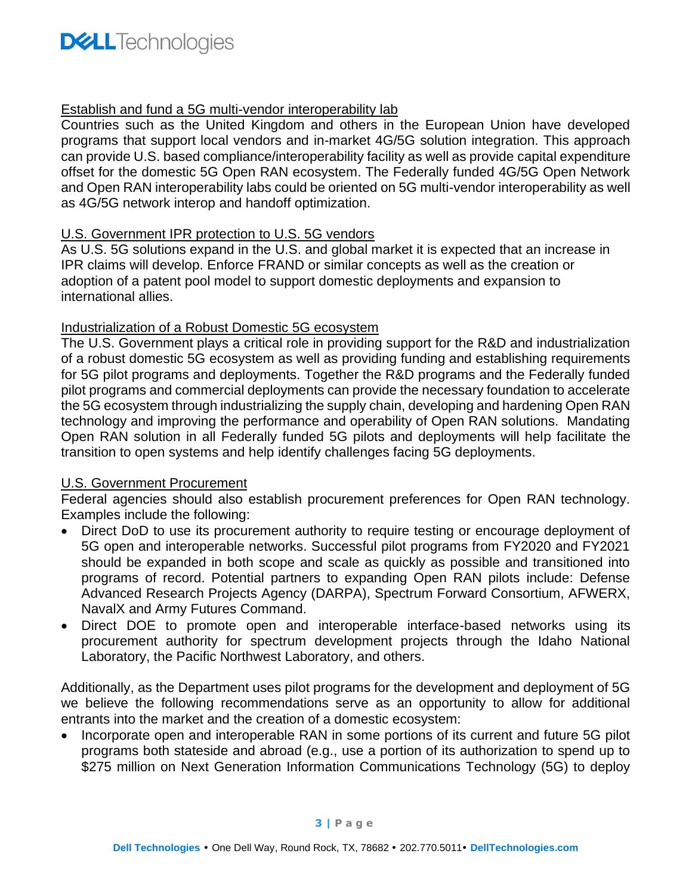## Establish and fund a 5G multi-vendor interoperability lab

Countries such as the United Kingdom and others in the European Union have developed programs that support local vendors and in-market 4G/5G solution integration. This approach can provide U.S. based compliance/interoperability facility as well as provide capital expenditure offset for the domestic 5G Open RAN ecosystem. The Federally funded 4G/5G Open Network and Open RAN interoperability labs could be oriented on 5G multi-vendor interoperability as well as 4G/5G network interop and handoff optimization.

## U.S. Government IPR protection to U.S. 5G vendors

As U.S. 5G solutions expand in the U.S. and global market it is expected that an increase in IPR claims will develop. Enforce FRAND or similar concepts as well as the creation or adoption of a patent pool model to support domestic deployments and expansion to international allies.

## Industrialization of a Robust Domestic 5G ecosystem

The U.S. Government plays a critical role in providing support for the R&D and industrialization of a robust domestic 5G ecosystem as well as providing funding and establishing requirements for 5G pilot programs and deployments. Together the R&D programs and the Federally funded pilot programs and commercial deployments can provide the necessary foundation to accelerate the 5G ecosystem through industrializing the supply chain, developing and hardening Open RAN technology and improving the performance and operability of Open RAN solutions. Mandating Open RAN solution in all Federally funded 5G pilots and deployments will help facilitate the transition to open systems and help identify challenges facing 5G deployments.

## U.S. Government Procurement

Federal agencies should also establish procurement preferences for Open RAN technology. Examples include the following:

- Direct DoD to use its procurement authority to require testing or encourage deployment of 5G open and interoperable networks. Successful pilot programs from FY2020 and FY2021 should be expanded in both scope and scale as quickly as possible and transitioned into programs of record. Potential partners to expanding Open RAN pilots include: Defense Advanced Research Projects Agency (DARPA), Spectrum Forward Consortium, AFWERX, NavalX and Army Futures Command.
- Direct DOE to promote open and interoperable interface-based networks using its procurement authority for spectrum development projects through the Idaho National Laboratory, the Pacific Northwest Laboratory, and others.

Additionally, as the Department uses pilot programs for the development and deployment of 5G we believe the following recommendations serve as an opportunity to allow for additional entrants into the market and the creation of a domestic ecosystem:

• Incorporate open and interoperable RAN in some portions of its current and future 5G pilot programs both stateside and abroad (e.g., use a portion of its authorization to spend up to \$275 million on Next Generation Information Communications Technology (5G) to deploy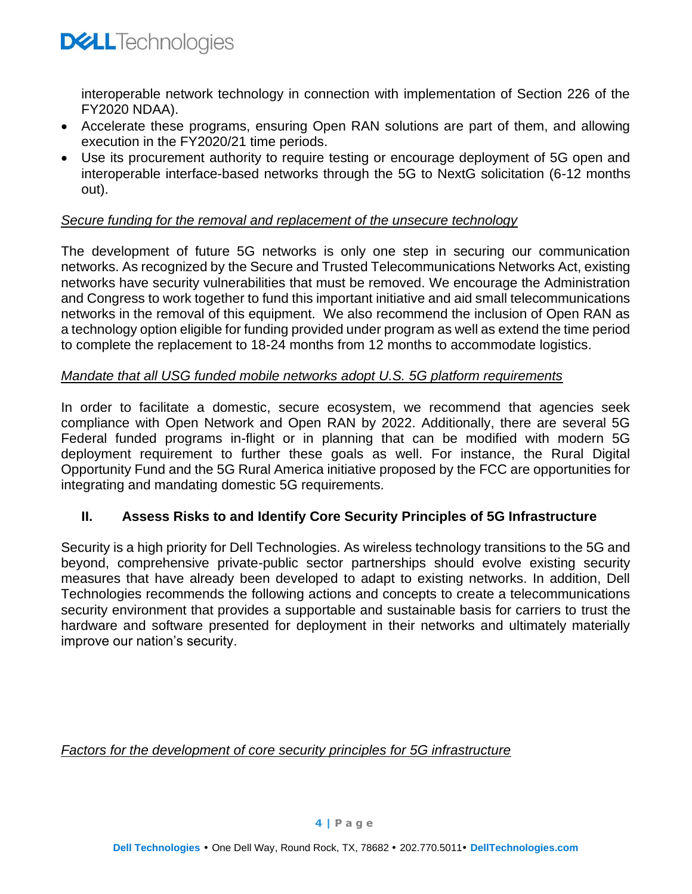

interoperable network technology in connection with implementation of Section 226 of the FY2020 NDAA).

- Accelerate these programs, ensuring Open RAN solutions are part of them, and allowing execution in the FY2020/21 time periods.
- Use its procurement authority to require testing or encourage deployment of 5G open and interoperable interface-based networks through the 5G to NextG solicitation (6-12 months out).

#### *Secure funding for the removal and replacement of the unsecure technology*

The development of future 5G networks is only one step in securing our communication networks. As recognized by the Secure and Trusted Telecommunications Networks Act, existing networks have security vulnerabilities that must be removed. We encourage the Administration and Congress to work together to fund this important initiative and aid small telecommunications networks in the removal of this equipment. We also recommend the inclusion of Open RAN as a technology option eligible for funding provided under program as well as extend the time period to complete the replacement to 18-24 months from 12 months to accommodate logistics.

#### *Mandate that all USG funded mobile networks adopt U.S. 5G platform requirements*

In order to facilitate a domestic, secure ecosystem, we recommend that agencies seek compliance with Open Network and Open RAN by 2022. Additionally, there are several 5G Federal funded programs in-flight or in planning that can be modified with modern 5G deployment requirement to further these goals as well. For instance, the Rural Digital Opportunity Fund and the 5G Rural America initiative proposed by the FCC are opportunities for integrating and mandating domestic 5G requirements.

## **II. Assess Risks to and Identify Core Security Principles of 5G Infrastructure**

Security is a high priority for Dell Technologies. As wireless technology transitions to the 5G and beyond, comprehensive private-public sector partnerships should evolve existing security measures that have already been developed to adapt to existing networks. In addition, Dell Technologies recommends the following actions and concepts to create a telecommunications security environment that provides a supportable and sustainable basis for carriers to trust the hardware and software presented for deployment in their networks and ultimately materially improve our nation's security.

*Factors for the development of core security principles for 5G infrastructure*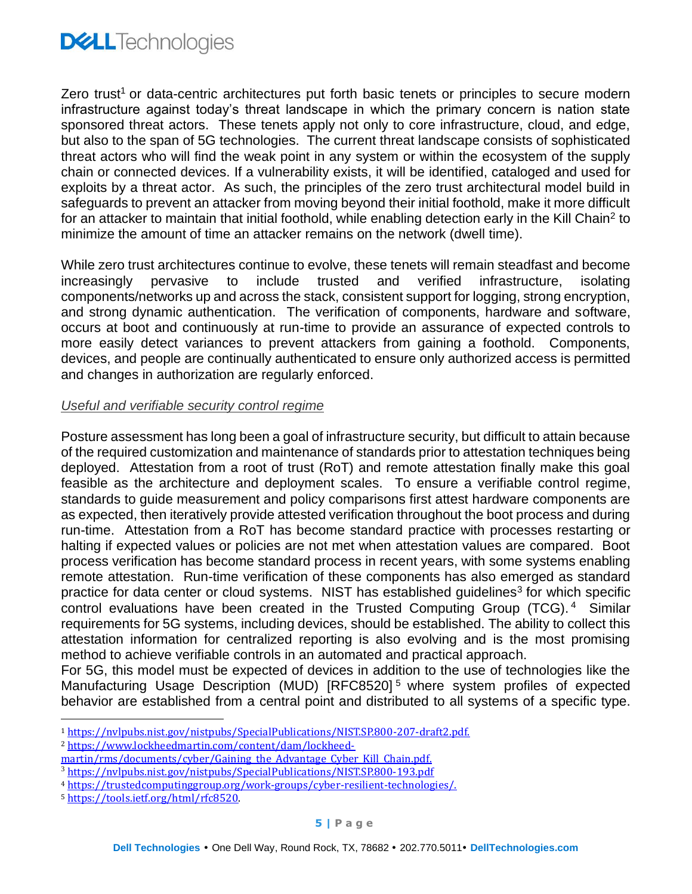

Zero trust<sup>1</sup> or data-centric architectures put forth basic tenets or principles to secure modern infrastructure against today's threat landscape in which the primary concern is nation state sponsored threat actors. These tenets apply not only to core infrastructure, cloud, and edge, but also to the span of 5G technologies. The current threat landscape consists of sophisticated threat actors who will find the weak point in any system or within the ecosystem of the supply chain or connected devices. If a vulnerability exists, it will be identified, cataloged and used for exploits by a threat actor. As such, the principles of the zero trust architectural model build in safeguards to prevent an attacker from moving beyond their initial foothold, make it more difficult for an attacker to maintain that initial foothold, while enabling detection early in the Kill Chain<sup>2</sup> to minimize the amount of time an attacker remains on the network (dwell time).

While zero trust architectures continue to evolve, these tenets will remain steadfast and become increasingly pervasive to include trusted and verified infrastructure, isolating components/networks up and across the stack, consistent support for logging, strong encryption, and strong dynamic authentication. The verification of components, hardware and software, occurs at boot and continuously at run-time to provide an assurance of expected controls to more easily detect variances to prevent attackers from gaining a foothold. Components, devices, and people are continually authenticated to ensure only authorized access is permitted and changes in authorization are regularly enforced.

#### *Useful and verifiable security control regime*

Posture assessment has long been a goal of infrastructure security, but difficult to attain because of the required customization and maintenance of standards prior to attestation techniques being deployed. Attestation from a root of trust (RoT) and remote attestation finally make this goal feasible as the architecture and deployment scales. To ensure a verifiable control regime, standards to guide measurement and policy comparisons first attest hardware components are as expected, then iteratively provide attested verification throughout the boot process and during run-time. Attestation from a RoT has become standard practice with processes restarting or halting if expected values or policies are not met when attestation values are compared. Boot process verification has become standard process in recent years, with some systems enabling remote attestation. Run-time verification of these components has also emerged as standard practice for data center or cloud systems. NIST has established guidelines<sup>3</sup> for which specific control evaluations have been created in the Trusted Computing Group (TCG).<sup>4</sup> Similar requirements for 5G systems, including devices, should be established. The ability to collect this attestation information for centralized reporting is also evolving and is the most promising method to achieve verifiable controls in an automated and practical approach.

For 5G, this model must be expected of devices in addition to the use of technologies like the Manufacturing Usage Description (MUD) [RFC8520] <sup>5</sup> where system profiles of expected behavior are established from a central point and distributed to all systems of a specific type.

<sup>5</sup> <https://tools.ietf.org/html/rfc8520>.

<sup>1</sup> [https://nvlpubs.nist.gov/nistpubs/SpecialPublications/NIST.SP.800-207-draft2.pdf.](https://nvlpubs.nist.gov/nistpubs/SpecialPublications/NIST.SP.800-207-draft2.pdf)

<sup>2</sup> [https://www.lockheedmartin.com/content/dam/lockheed-](https://www.lockheedmartin.com/content/dam/lockheed-martin/rms/documents/cyber/Gaining_the_Advantage_Cyber_Kill_Chain.pdf)

[martin/rms/documents/cyber/Gaining\\_the\\_Advantage\\_Cyber\\_Kill\\_Chain.pdf.](https://www.lockheedmartin.com/content/dam/lockheed-martin/rms/documents/cyber/Gaining_the_Advantage_Cyber_Kill_Chain.pdf)

<sup>3</sup> <https://nvlpubs.nist.gov/nistpubs/SpecialPublications/NIST.SP.800-193.pdf>

<sup>4</sup> [https://trustedcomputinggroup.org/work-groups/cyber-resilient-technologies/.](https://trustedcomputinggroup.org/work-groups/cyber-resilient-technologies/)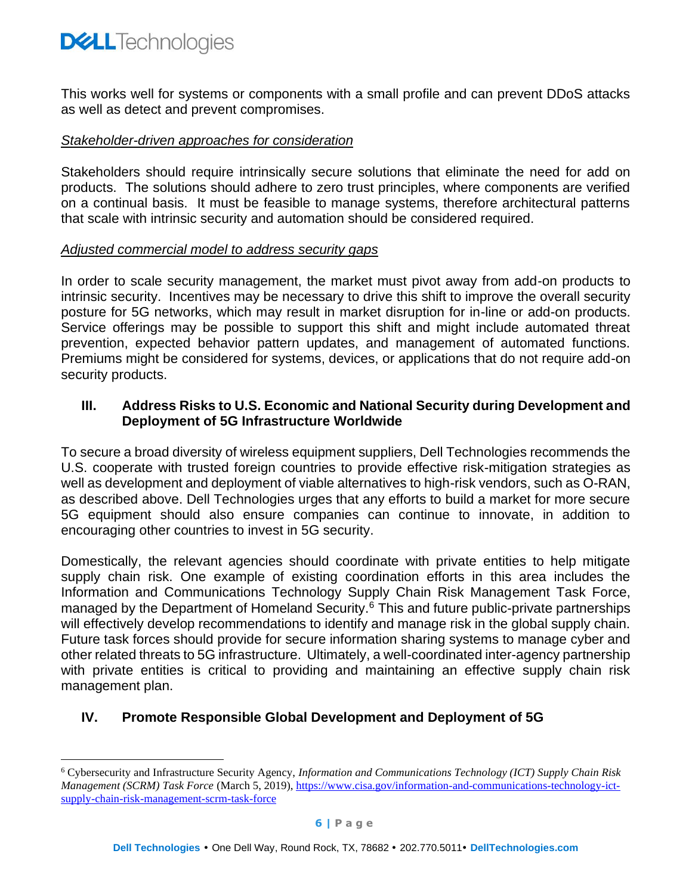

This works well for systems or components with a small profile and can prevent DDoS attacks as well as detect and prevent compromises.

#### *Stakeholder-driven approaches for consideration*

Stakeholders should require intrinsically secure solutions that eliminate the need for add on products. The solutions should adhere to zero trust principles, where components are verified on a continual basis. It must be feasible to manage systems, therefore architectural patterns that scale with intrinsic security and automation should be considered required.

#### *Adjusted commercial model to address security gaps*

In order to scale security management, the market must pivot away from add-on products to intrinsic security. Incentives may be necessary to drive this shift to improve the overall security posture for 5G networks, which may result in market disruption for in-line or add-on products. Service offerings may be possible to support this shift and might include automated threat prevention, expected behavior pattern updates, and management of automated functions. Premiums might be considered for systems, devices, or applications that do not require add-on security products.

### **III. Address Risks to U.S. Economic and National Security during Development and Deployment of 5G Infrastructure Worldwide**

To secure a broad diversity of wireless equipment suppliers, Dell Technologies recommends the U.S. cooperate with trusted foreign countries to provide effective risk-mitigation strategies as well as development and deployment of viable alternatives to high-risk vendors, such as O-RAN, as described above. Dell Technologies urges that any efforts to build a market for more secure 5G equipment should also ensure companies can continue to innovate, in addition to encouraging other countries to invest in 5G security.

Domestically, the relevant agencies should coordinate with private entities to help mitigate supply chain risk. One example of existing coordination efforts in this area includes the Information and Communications Technology Supply Chain Risk Management Task Force, managed by the Department of Homeland Security.<sup>6</sup> This and future public-private partnerships will effectively develop recommendations to identify and manage risk in the global supply chain. Future task forces should provide for secure information sharing systems to manage cyber and other related threats to 5G infrastructure. Ultimately, a well-coordinated inter-agency partnership with private entities is critical to providing and maintaining an effective supply chain risk management plan.

## **IV. Promote Responsible Global Development and Deployment of 5G**

<sup>6</sup> Cybersecurity and Infrastructure Security Agency, *Information and Communications Technology (ICT) Supply Chain Risk Management (SCRM) Task Force* (March 5, 2019), [https://www.cisa.gov/information-and-communications-technology-ict](https://www.cisa.gov/information-and-communications-technology-ict-supply-chain-risk-management-scrm-task-force)[supply-chain-risk-management-scrm-task-force](https://www.cisa.gov/information-and-communications-technology-ict-supply-chain-risk-management-scrm-task-force)